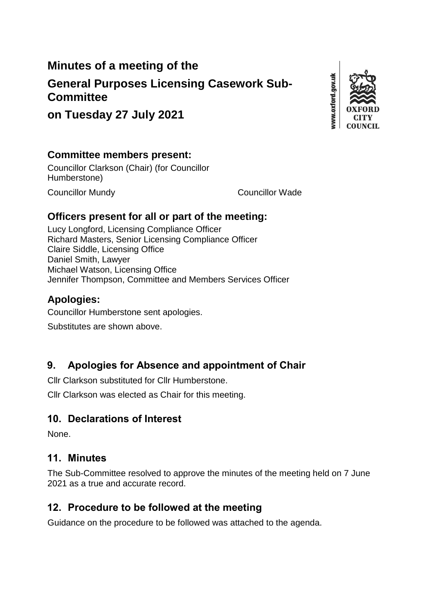# **Minutes of a meeting of the**

# **General Purposes Licensing Casework Sub-Committee**

www.oxford.gov.uk

# **on Tuesday 27 July 2021**

#### **Committee members present:**

Councillor Clarkson (Chair) (for Councillor Humberstone)

Councillor Mundy Councillor Wade

### **Officers present for all or part of the meeting:**

Lucy Longford, Licensing Compliance Officer Richard Masters, Senior Licensing Compliance Officer Claire Siddle, Licensing Office Daniel Smith, Lawyer Michael Watson, Licensing Office Jennifer Thompson, Committee and Members Services Officer

## **Apologies:**

Councillor Humberstone sent apologies.

Substitutes are shown above.

# **9. Apologies for Absence and appointment of Chair**

Cllr Clarkson substituted for Cllr Humberstone.

Cllr Clarkson was elected as Chair for this meeting.

## **10. Declarations of Interest**

None.

### **11. Minutes**

The Sub-Committee resolved to approve the minutes of the meeting held on 7 June 2021 as a true and accurate record.

## **12. Procedure to be followed at the meeting**

Guidance on the procedure to be followed was attached to the agenda.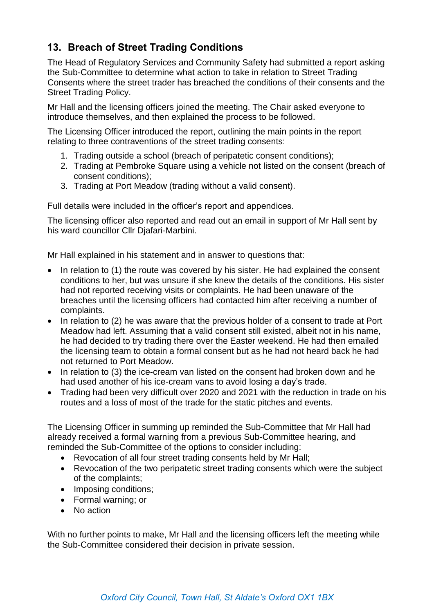## **13. Breach of Street Trading Conditions**

The Head of Regulatory Services and Community Safety had submitted a report asking the Sub-Committee to determine what action to take in relation to Street Trading Consents where the street trader has breached the conditions of their consents and the Street Trading Policy.

Mr Hall and the licensing officers joined the meeting. The Chair asked everyone to introduce themselves, and then explained the process to be followed.

The Licensing Officer introduced the report, outlining the main points in the report relating to three contraventions of the street trading consents:

- 1. Trading outside a school (breach of peripatetic consent conditions);
- 2. Trading at Pembroke Square using a vehicle not listed on the consent (breach of consent conditions);
- 3. Trading at Port Meadow (trading without a valid consent).

Full details were included in the officer's report and appendices.

The licensing officer also reported and read out an email in support of Mr Hall sent by his ward councillor Cllr Djafari-Marbini.

Mr Hall explained in his statement and in answer to questions that:

- In relation to (1) the route was covered by his sister. He had explained the consent conditions to her, but was unsure if she knew the details of the conditions. His sister had not reported receiving visits or complaints. He had been unaware of the breaches until the licensing officers had contacted him after receiving a number of complaints.
- In relation to (2) he was aware that the previous holder of a consent to trade at Port Meadow had left. Assuming that a valid consent still existed, albeit not in his name, he had decided to try trading there over the Easter weekend. He had then emailed the licensing team to obtain a formal consent but as he had not heard back he had not returned to Port Meadow.
- In relation to (3) the ice-cream van listed on the consent had broken down and he had used another of his ice-cream vans to avoid losing a day's trade.
- Trading had been very difficult over 2020 and 2021 with the reduction in trade on his routes and a loss of most of the trade for the static pitches and events.

The Licensing Officer in summing up reminded the Sub-Committee that Mr Hall had already received a formal warning from a previous Sub-Committee hearing, and reminded the Sub-Committee of the options to consider including:

- Revocation of all four street trading consents held by Mr Hall;
- Revocation of the two peripatetic street trading consents which were the subject of the complaints;
- Imposing conditions;
- Formal warning; or
- No action

With no further points to make, Mr Hall and the licensing officers left the meeting while the Sub-Committee considered their decision in private session.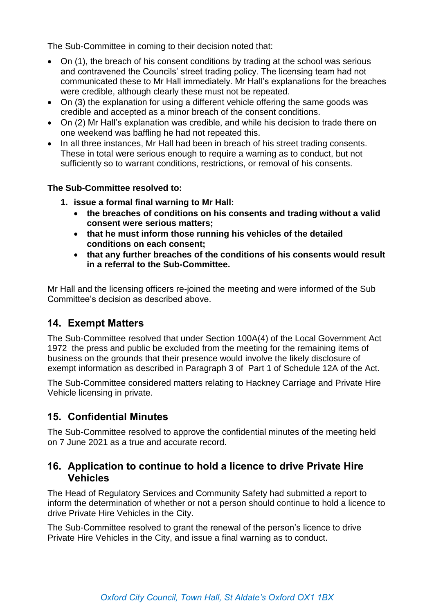The Sub-Committee in coming to their decision noted that:

- On (1), the breach of his consent conditions by trading at the school was serious and contravened the Councils' street trading policy. The licensing team had not communicated these to Mr Hall immediately. Mr Hall's explanations for the breaches were credible, although clearly these must not be repeated.
- On (3) the explanation for using a different vehicle offering the same goods was credible and accepted as a minor breach of the consent conditions.
- On (2) Mr Hall's explanation was credible, and while his decision to trade there on one weekend was baffling he had not repeated this.
- In all three instances. Mr Hall had been in breach of his street trading consents. These in total were serious enough to require a warning as to conduct, but not sufficiently so to warrant conditions, restrictions, or removal of his consents.

#### **The Sub-Committee resolved to:**

- **1. issue a formal final warning to Mr Hall:**
	- **the breaches of conditions on his consents and trading without a valid consent were serious matters;**
	- **that he must inform those running his vehicles of the detailed conditions on each consent;**
	- **that any further breaches of the conditions of his consents would result in a referral to the Sub-Committee.**

Mr Hall and the licensing officers re-joined the meeting and were informed of the Sub Committee's decision as described above.

#### **14. Exempt Matters**

The Sub-Committee resolved that under Section 100A(4) of the Local Government Act 1972 the press and public be excluded from the meeting for the remaining items of business on the grounds that their presence would involve the likely disclosure of exempt information as described in Paragraph 3 of Part 1 of Schedule 12A of the Act.

The Sub-Committee considered matters relating to Hackney Carriage and Private Hire Vehicle licensing in private.

### **15. Confidential Minutes**

The Sub-Committee resolved to approve the confidential minutes of the meeting held on 7 June 2021 as a true and accurate record.

#### **16. Application to continue to hold a licence to drive Private Hire Vehicles**

The Head of Regulatory Services and Community Safety had submitted a report to inform the determination of whether or not a person should continue to hold a licence to drive Private Hire Vehicles in the City.

The Sub-Committee resolved to grant the renewal of the person's licence to drive Private Hire Vehicles in the City, and issue a final warning as to conduct.